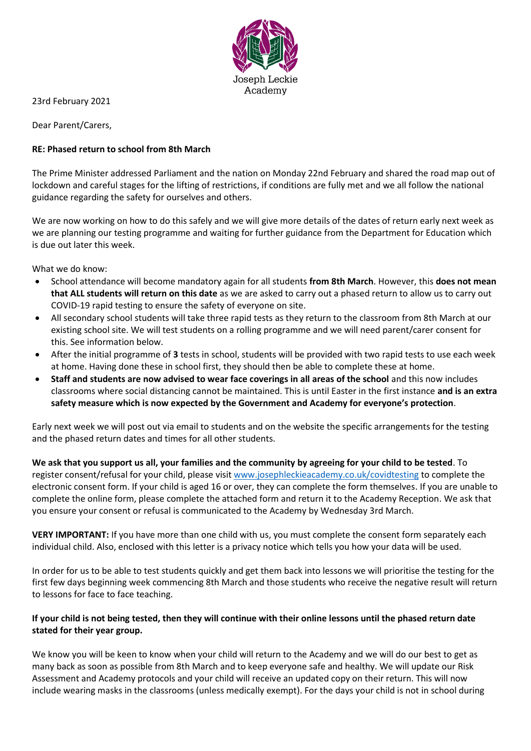

23rd February 2021

Dear Parent/Carers,

#### **RE: Phased return to school from 8th March**

The Prime Minister addressed Parliament and the nation on Monday 22nd February and shared the road map out of lockdown and careful stages for the lifting of restrictions, if conditions are fully met and we all follow the national guidance regarding the safety for ourselves and others.

We are now working on how to do this safely and we will give more details of the dates of return early next week as we are planning our testing programme and waiting for further guidance from the Department for Education which is due out later this week.

What we do know:

- School attendance will become mandatory again for all students **from 8th March**. However, this **does not mean that ALL students will return on this date** as we are asked to carry out a phased return to allow us to carry out COVID-19 rapid testing to ensure the safety of everyone on site.
- All secondary school students will take three rapid tests as they return to the classroom from 8th March at our existing school site. We will test students on a rolling programme and we will need parent/carer consent for this. See information below.
- After the initial programme of **3** tests in school, students will be provided with two rapid tests to use each week at home. Having done these in school first, they should then be able to complete these at home.
- **Staff and students are now advised to wear face coverings in all areas of the school** and this now includes classrooms where social distancing cannot be maintained. This is until Easter in the first instance **and is an extra safety measure which is now expected by the Government and Academy for everyone's protection**.

Early next week we will post out via email to students and on the website the specific arrangements for the testing and the phased return dates and times for all other students.

**We ask that you support us all, your families and the community by agreeing for your child to be tested**. To register consent/refusal for your child, please visit [www.josephleckieacademy.co.uk/covidtesting](http://www.josephleckieacademy.co.uk/covidtesting) to complete the electronic consent form. If your child is aged 16 or over, they can complete the form themselves. If you are unable to complete the online form, please complete the attached form and return it to the Academy Reception. We ask that you ensure your consent or refusal is communicated to the Academy by Wednesday 3rd March.

**VERY IMPORTANT:** If you have more than one child with us, you must complete the consent form separately each individual child. Also, enclosed with this letter is a privacy notice which tells you how your data will be used.

In order for us to be able to test students quickly and get them back into lessons we will prioritise the testing for the first few days beginning week commencing 8th March and those students who receive the negative result will return to lessons for face to face teaching.

#### **If your child is not being tested, then they will continue with their online lessons until the phased return date stated for their year group.**

We know you will be keen to know when your child will return to the Academy and we will do our best to get as many back as soon as possible from 8th March and to keep everyone safe and healthy. We will update our Risk Assessment and Academy protocols and your child will receive an updated copy on their return. This will now include wearing masks in the classrooms (unless medically exempt). For the days your child is not in school during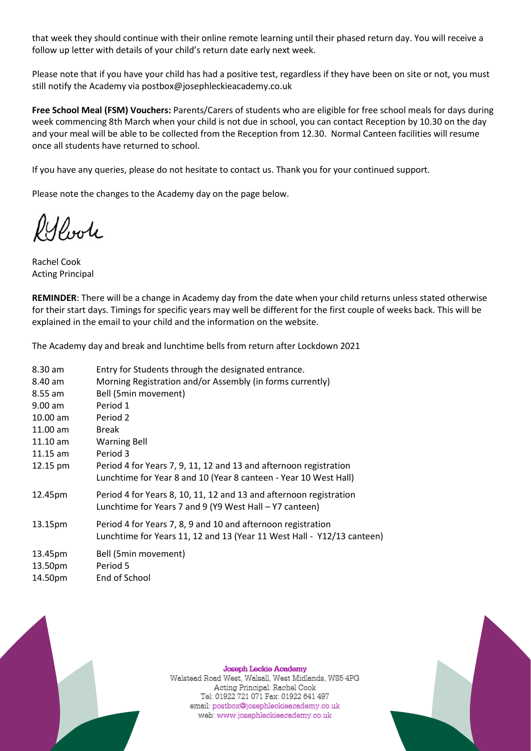that week they should continue with their online remote learning until their phased return day. You will receive a follow up letter with details of your child's return date early next week.

Please note that if you have your child has had a positive test, regardless if they have been on site or not, you must still notify the Academy via postbox@josephleckieacademy.co.uk

**Free School Meal (FSM) Vouchers:** Parents/Carers of students who are eligible for free school meals for days during week commencing 8th March when your child is not due in school, you can contact Reception by 10.30 on the day and your meal will be able to be collected from the Reception from 12.30. Normal Canteen facilities will resume once all students have returned to school.

If you have any queries, please do not hesitate to contact us. Thank you for your continued support.

Please note the changes to the Academy day on the page below.

Poole

Rachel Cook Acting Principal

**REMINDER**: There will be a change in Academy day from the date when your child returns unless stated otherwise for their start days. Timings for specific years may well be different for the first couple of weeks back. This will be explained in the email to your child and the information on the website.

The Academy day and break and lunchtime bells from return after Lockdown 2021

| 8.30 am    | Entry for Students through the designated entrance.                                                                                    |
|------------|----------------------------------------------------------------------------------------------------------------------------------------|
| 8.40 am    | Morning Registration and/or Assembly (in forms currently)                                                                              |
| $8.55$ am  | Bell (5min movement)                                                                                                                   |
| $9.00$ am  | Period 1                                                                                                                               |
| $10.00$ am | Period 2                                                                                                                               |
| $11.00$ am | <b>Break</b>                                                                                                                           |
| $11.10$ am | <b>Warning Bell</b>                                                                                                                    |
| $11.15$ am | Period 3                                                                                                                               |
| 12.15 pm   | Period 4 for Years 7, 9, 11, 12 and 13 and afternoon registration<br>Lunchtime for Year 8 and 10 (Year 8 canteen - Year 10 West Hall)  |
| 12.45pm    | Period 4 for Years 8, 10, 11, 12 and 13 and afternoon registration<br>Lunchtime for Years 7 and 9 (Y9 West Hall – Y7 canteen)          |
| 13.15pm    | Period 4 for Years 7, 8, 9 and 10 and afternoon registration<br>Lunchtime for Years 11, 12 and 13 (Year 11 West Hall - Y12/13 canteen) |
| 13.45pm    | Bell (5min movement)                                                                                                                   |
| 13.50pm    | Period 5                                                                                                                               |
| 14.50pm    | End of School                                                                                                                          |



**Joseph Leckie Academy** Walstead Road West, Walsall, West Midlands, WS5 4PG Acting Principal: Rachel Cook Tel: 01922 721 071 Fax: 01922 641 497 email: postbox@josephleckieacademy.co.uk web: www.josephleckieacademy.co.uk

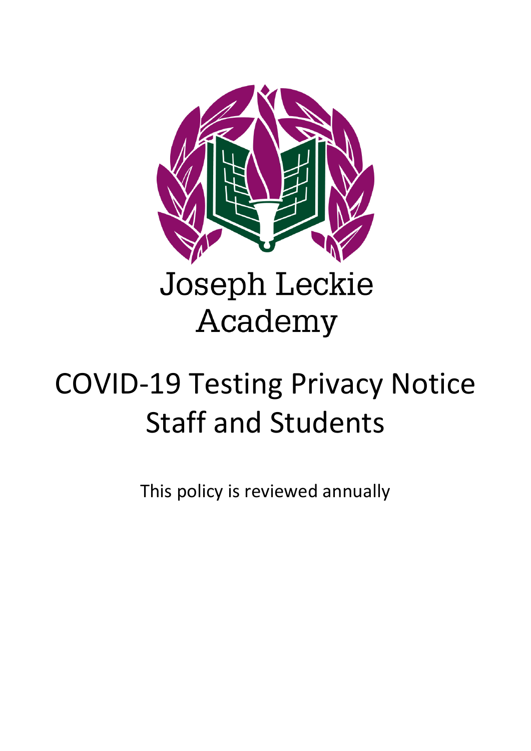

# **Joseph Leckie** Academy

# COVID-19 Testing Privacy Notice Staff and Students

This policy is reviewed annually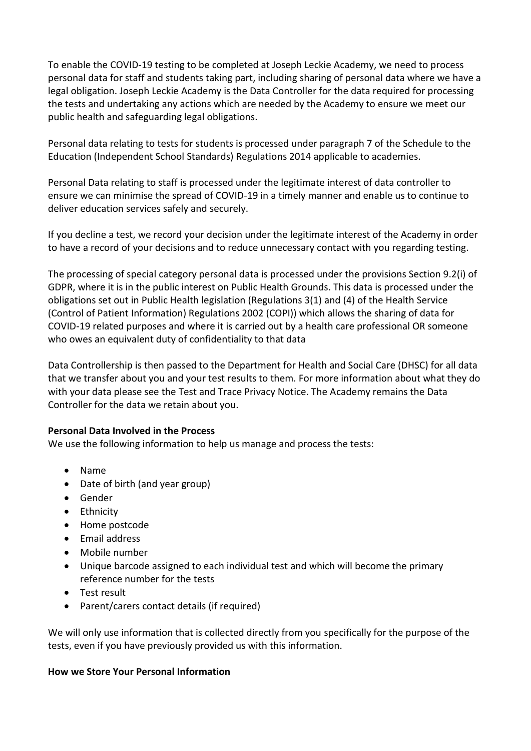To enable the COVID-19 testing to be completed at Joseph Leckie Academy, we need to process personal data for staff and students taking part, including sharing of personal data where we have a legal obligation. Joseph Leckie Academy is the Data Controller for the data required for processing the tests and undertaking any actions which are needed by the Academy to ensure we meet our public health and safeguarding legal obligations.

Personal data relating to tests for students is processed under paragraph 7 of the Schedule to the Education (Independent School Standards) Regulations 2014 applicable to academies.

Personal Data relating to staff is processed under the legitimate interest of data controller to ensure we can minimise the spread of COVID-19 in a timely manner and enable us to continue to deliver education services safely and securely.

If you decline a test, we record your decision under the legitimate interest of the Academy in order to have a record of your decisions and to reduce unnecessary contact with you regarding testing.

The processing of special category personal data is processed under the provisions Section 9.2(i) of GDPR, where it is in the public interest on Public Health Grounds. This data is processed under the obligations set out in Public Health legislation (Regulations 3(1) and (4) of the Health Service (Control of Patient Information) Regulations 2002 (COPI)) which allows the sharing of data for COVID-19 related purposes and where it is carried out by a health care professional OR someone who owes an equivalent duty of confidentiality to that data

Data Controllership is then passed to the Department for Health and Social Care (DHSC) for all data that we transfer about you and your test results to them. For more information about what they do with your data please see the Test and Trace Privacy Notice. The Academy remains the Data Controller for the data we retain about you.

# **Personal Data Involved in the Process**

We use the following information to help us manage and process the tests:

- Name
- Date of birth (and year group)
- Gender
- Ethnicity
- Home postcode
- Email address
- Mobile number
- Unique barcode assigned to each individual test and which will become the primary reference number for the tests
- Test result
- Parent/carers contact details (if required)

We will only use information that is collected directly from you specifically for the purpose of the tests, even if you have previously provided us with this information.

# **How we Store Your Personal Information**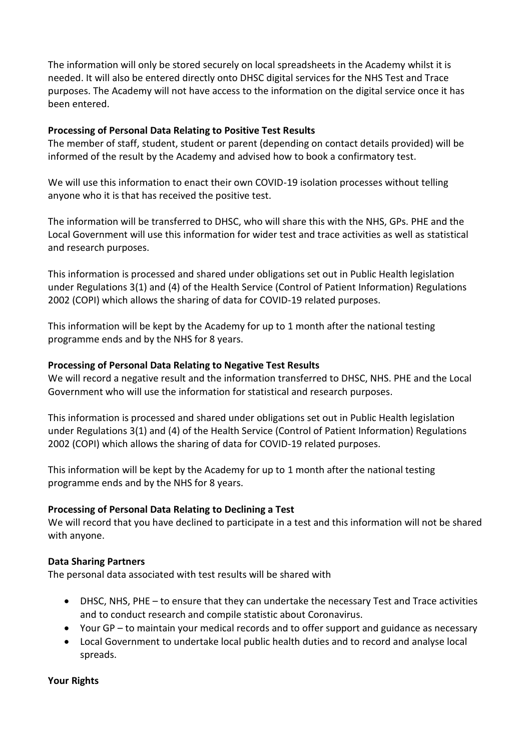The information will only be stored securely on local spreadsheets in the Academy whilst it is needed. It will also be entered directly onto DHSC digital services for the NHS Test and Trace purposes. The Academy will not have access to the information on the digital service once it has been entered.

### **Processing of Personal Data Relating to Positive Test Results**

The member of staff, student, student or parent (depending on contact details provided) will be informed of the result by the Academy and advised how to book a confirmatory test.

We will use this information to enact their own COVID-19 isolation processes without telling anyone who it is that has received the positive test.

The information will be transferred to DHSC, who will share this with the NHS, GPs. PHE and the Local Government will use this information for wider test and trace activities as well as statistical and research purposes.

This information is processed and shared under obligations set out in Public Health legislation under Regulations 3(1) and (4) of the Health Service (Control of Patient Information) Regulations 2002 (COPI) which allows the sharing of data for COVID-19 related purposes.

This information will be kept by the Academy for up to 1 month after the national testing programme ends and by the NHS for 8 years.

# **Processing of Personal Data Relating to Negative Test Results**

We will record a negative result and the information transferred to DHSC, NHS. PHE and the Local Government who will use the information for statistical and research purposes.

This information is processed and shared under obligations set out in Public Health legislation under Regulations 3(1) and (4) of the Health Service (Control of Patient Information) Regulations 2002 (COPI) which allows the sharing of data for COVID-19 related purposes.

This information will be kept by the Academy for up to 1 month after the national testing programme ends and by the NHS for 8 years.

# **Processing of Personal Data Relating to Declining a Test**

We will record that you have declined to participate in a test and this information will not be shared with anyone.

#### **Data Sharing Partners**

The personal data associated with test results will be shared with

- DHSC, NHS, PHE to ensure that they can undertake the necessary Test and Trace activities and to conduct research and compile statistic about Coronavirus.
- Your GP to maintain your medical records and to offer support and guidance as necessary
- Local Government to undertake local public health duties and to record and analyse local spreads.

#### **Your Rights**